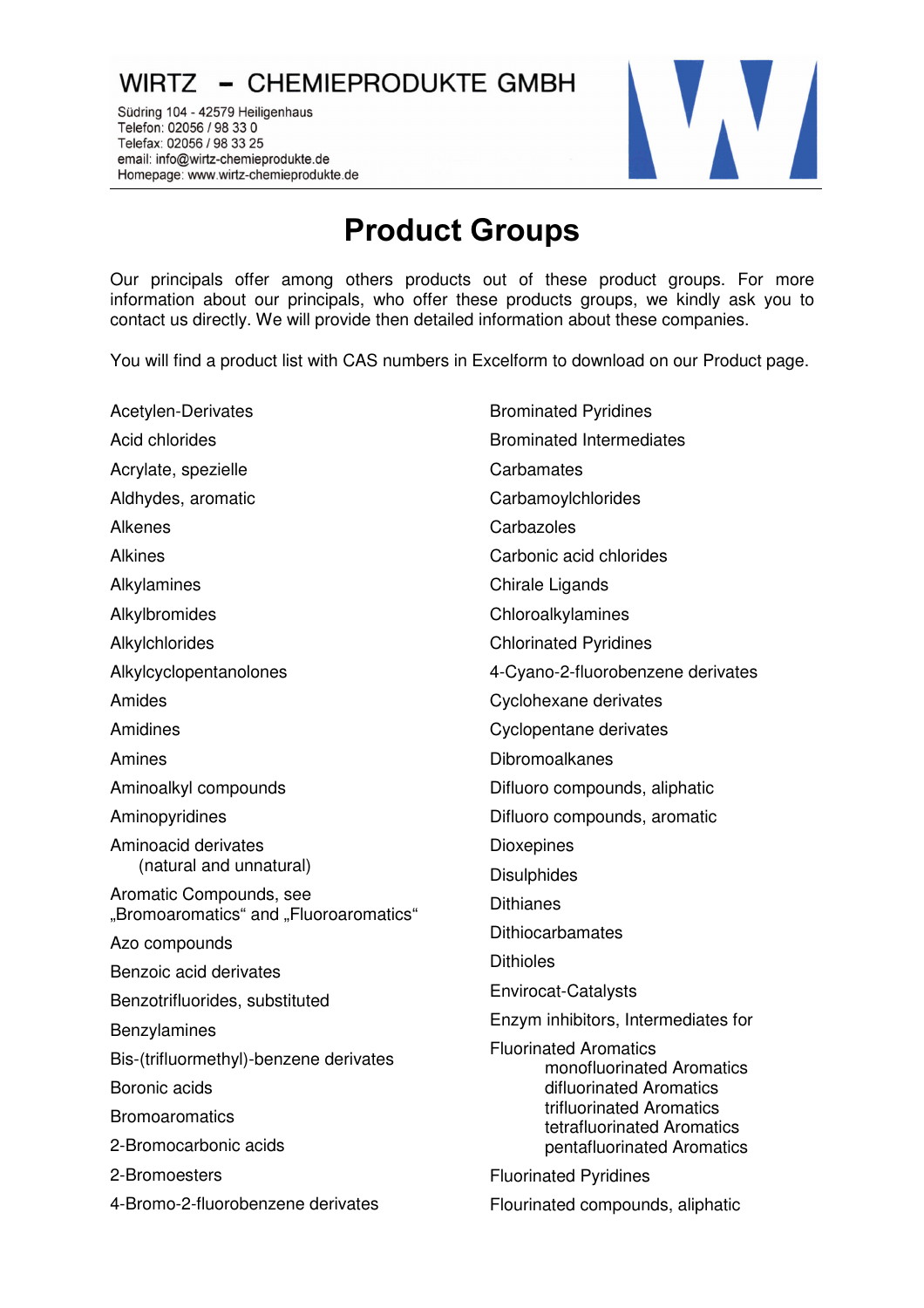## WIRTZ - CHEMIEPRODUKTE GMBH

Südring 104 - 42579 Heiligenhaus Telefon: 02056 / 98 33 0 Telefax: 02056 / 98 33 25 email: info@wirtz-chemieprodukte.de Homepage: www.wirtz-chemieprodukte.de

## **Product Groups**

Our principals offer among others products out of these product groups. For more information about our principals, who offer these products groups, we kindly ask you to contact us directly. We will provide then detailed information about these companies.

You will find a product list with CAS numbers in Excelform to download on our Product page.

Acetylen-Derivates Acid chlorides Acrylate, spezielle Aldhydes, aromatic Alkenes Alkines Alkylamines Alkylbromides Alkylchlorides Alkylcyclopentanolones Amides Amidines Amines Aminoalkyl compounds Aminopyridines Aminoacid derivates (natural and unnatural) Aromatic Compounds, see "Bromoaromatics" and "Fluoroaromatics" Azo compounds Benzoic acid derivates Benzotrifluorides, substituted Benzylamines Bis-(trifluormethyl)-benzene derivates Boronic acids **Bromoaromatics** 2-Bromocarbonic acids 2-Bromoesters 4-Bromo-2-fluorobenzene derivates Brominated Pyridines Brominated Intermediates **Carbamates Carbamoylchlorides Carbazoles** Carbonic acid chlorides Chirale Ligands **Chloroalkylamines** Chlorinated Pyridines 4-Cyano-2-fluorobenzene derivates Cyclohexane derivates Cyclopentane derivates Dibromoalkanes Difluoro compounds, aliphatic Difluoro compounds, aromatic **Dioxepines Disulphides Dithianes Dithiocarbamates Dithioles** Envirocat-Catalysts Enzym inhibitors, Intermediates for Fluorinated Aromatics monofluorinated Aromatics difluorinated Aromatics trifluorinated Aromatics tetrafluorinated Aromatics pentafluorinated Aromatics Fluorinated Pyridines Flourinated compounds, aliphatic